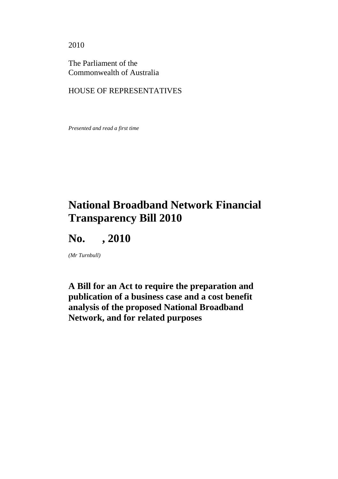2010

The Parliament of the Commonwealth of Australia

### HOUSE OF REPRESENTATIVES

*Presented and read a first time* 

# **National Broadband Network Financial Transparency Bill 2010**

**No. , 2010** 

*(Mr Turnbull)* 

**A Bill for an Act to require the preparation and publication of a business case and a cost benefit analysis of the proposed National Broadband Network, and for related purposes**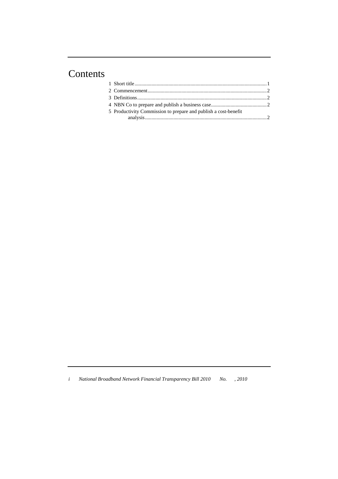## Contents

| 5 Productivity Commission to prepare and publish a cost-benefit |  |
|-----------------------------------------------------------------|--|
|                                                                 |  |

*i National Broadband Network Financial Transparency Bill 2010 No. , 2010*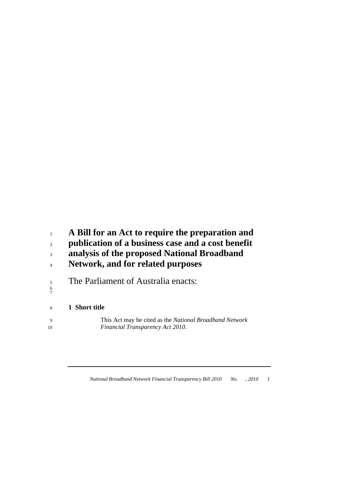### **A Bill for an Act to require the preparation and**

- **publication of a business case and a cost benefit**
- **analysis of the proposed National Broadband**
- **Network, and for related purposes**
- 5 The Parliament of Australia enacts: 7

#### **1 Short title**

9 This Act may be cited as the *National Broadband Network Financial Transparency Act 2010*.

*National Broadband Network Financial Transparency Bill 2010 No. , 2010 1*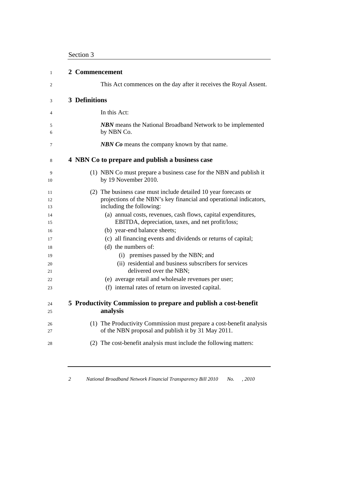| $\mathbf{1}$   | 2 Commencement                                                                                                                                                     |
|----------------|--------------------------------------------------------------------------------------------------------------------------------------------------------------------|
| 2              | This Act commences on the day after it receives the Royal Assent.                                                                                                  |
| 3              | <b>3 Definitions</b>                                                                                                                                               |
| 4              | In this Act:                                                                                                                                                       |
| 5<br>6         | <b>NBN</b> means the National Broadband Network to be implemented<br>by NBN Co.                                                                                    |
| 7              | <b>NBN Co</b> means the company known by that name.                                                                                                                |
| 8              | 4 NBN Co to prepare and publish a business case                                                                                                                    |
| 9<br>10        | (1) NBN Co must prepare a business case for the NBN and publish it<br>by 19 November 2010.                                                                         |
| 11<br>12<br>13 | (2) The business case must include detailed 10 year forecasts or<br>projections of the NBN's key financial and operational indicators,<br>including the following: |
| 14<br>15       | (a) annual costs, revenues, cash flows, capital expenditures,<br>EBITDA, depreciation, taxes, and net profit/loss;<br>(b) year-end balance sheets;                 |
| 16<br>17<br>18 | (c) all financing events and dividends or returns of capital;<br>(d) the numbers of:                                                                               |
| 19             | (i) premises passed by the NBN; and                                                                                                                                |
| 20<br>21       | (ii) residential and business subscribers for services<br>delivered over the NBN;                                                                                  |
| 22             | (e) average retail and wholesale revenues per user;                                                                                                                |
| 23             | (f) internal rates of return on invested capital.                                                                                                                  |
| 24<br>25       | 5 Productivity Commission to prepare and publish a cost-benefit<br>analysis                                                                                        |
| 26<br>27       | (1) The Productivity Commission must prepare a cost-benefit analysis<br>of the NBN proposal and publish it by 31 May 2011.                                         |
| 28             | (2) The cost-benefit analysis must include the following matters:                                                                                                  |
|                |                                                                                                                                                                    |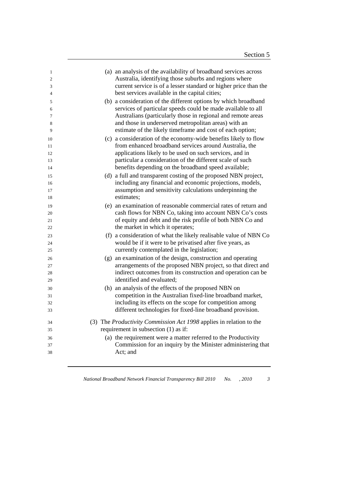| 1        | (a) an analysis of the availability of broadband services across                                                             |
|----------|------------------------------------------------------------------------------------------------------------------------------|
| 2        | Australia, identifying those suburbs and regions where                                                                       |
| 3        | current service is of a lesser standard or higher price than the                                                             |
| 4        | best services available in the capital cities;                                                                               |
| 5        | (b) a consideration of the different options by which broadband                                                              |
| 6        | services of particular speeds could be made available to all                                                                 |
| 7        | Australians (particularly those in regional and remote areas                                                                 |
| 8        | and those in underserved metropolitan areas) with an                                                                         |
| 9        | estimate of the likely timeframe and cost of each option;                                                                    |
| 10       | (c) a consideration of the economy-wide benefits likely to flow                                                              |
| 11       | from enhanced broadband services around Australia, the                                                                       |
| 12       | applications likely to be used on such services, and in                                                                      |
| 13       | particular a consideration of the different scale of such                                                                    |
| 14       | benefits depending on the broadband speed available;                                                                         |
| 15       | (d) a full and transparent costing of the proposed NBN project,                                                              |
| 16       | including any financial and economic projections, models,                                                                    |
| 17       | assumption and sensitivity calculations underpinning the                                                                     |
| 18       | estimates;                                                                                                                   |
| 19       | (e) an examination of reasonable commercial rates of return and                                                              |
| 20       | cash flows for NBN Co, taking into account NBN Co's costs                                                                    |
| 21       | of equity and debt and the risk profile of both NBN Co and<br>the market in which it operates;                               |
| 22       |                                                                                                                              |
| 23       | (f) a consideration of what the likely realisable value of NBN Co                                                            |
| 24       | would be if it were to be privatised after five years, as<br>currently contemplated in the legislation;                      |
| 25       |                                                                                                                              |
| 26       | (g) an examination of the design, construction and operating<br>arrangements of the proposed NBN project, so that direct and |
| 27<br>28 | indirect outcomes from its construction and operation can be                                                                 |
| 29       | identified and evaluated;                                                                                                    |
| 30       | (h) an analysis of the effects of the proposed NBN on                                                                        |
| 31       | competition in the Australian fixed-line broadband market,                                                                   |
| 32       | including its effects on the scope for competition among                                                                     |
| 33       | different technologies for fixed-line broadband provision.                                                                   |
|          |                                                                                                                              |
| 34       | (3) The Productivity Commission Act 1998 applies in relation to the                                                          |
| 35       | requirement in subsection (1) as if:                                                                                         |
| 36       | (a) the requirement were a matter referred to the Productivity                                                               |
| 37       | Commission for an inquiry by the Minister administering that                                                                 |
| 38       | Act; and                                                                                                                     |
|          |                                                                                                                              |